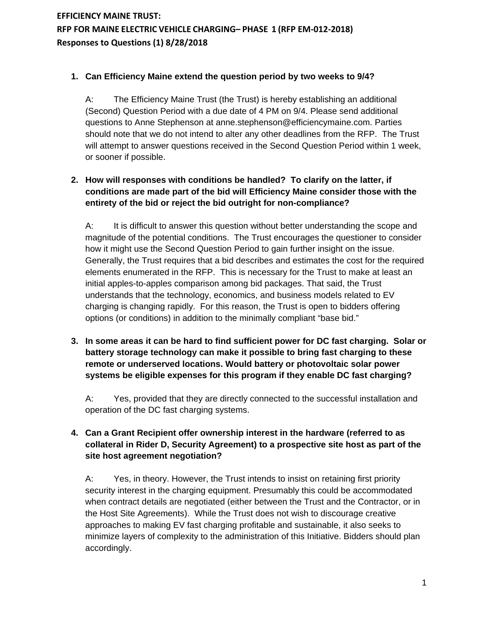#### **1. Can Efficiency Maine extend the question period by two weeks to 9/4?**

A: The Efficiency Maine Trust (the Trust) is hereby establishing an additional (Second) Question Period with a due date of 4 PM on 9/4. Please send additional questions to Anne Stephenson at anne.stephenson@efficiencymaine.com. Parties should note that we do not intend to alter any other deadlines from the RFP. The Trust will attempt to answer questions received in the Second Question Period within 1 week, or sooner if possible.

## **2. How will responses with conditions be handled? To clarify on the latter, if conditions are made part of the bid will Efficiency Maine consider those with the entirety of the bid or reject the bid outright for non-compliance?**

A: It is difficult to answer this question without better understanding the scope and magnitude of the potential conditions. The Trust encourages the questioner to consider how it might use the Second Question Period to gain further insight on the issue. Generally, the Trust requires that a bid describes and estimates the cost for the required elements enumerated in the RFP. This is necessary for the Trust to make at least an initial apples-to-apples comparison among bid packages. That said, the Trust understands that the technology, economics, and business models related to EV charging is changing rapidly. For this reason, the Trust is open to bidders offering options (or conditions) in addition to the minimally compliant "base bid."

**3. In some areas it can be hard to find sufficient power for DC fast charging. Solar or battery storage technology can make it possible to bring fast charging to these remote or underserved locations. Would battery or photovoltaic solar power systems be eligible expenses for this program if they enable DC fast charging?**

A: Yes, provided that they are directly connected to the successful installation and operation of the DC fast charging systems.

## **4. Can a Grant Recipient offer ownership interest in the hardware (referred to as collateral in Rider D, Security Agreement) to a prospective site host as part of the site host agreement negotiation?**

A: Yes, in theory. However, the Trust intends to insist on retaining first priority security interest in the charging equipment. Presumably this could be accommodated when contract details are negotiated (either between the Trust and the Contractor, or in the Host Site Agreements). While the Trust does not wish to discourage creative approaches to making EV fast charging profitable and sustainable, it also seeks to minimize layers of complexity to the administration of this Initiative. Bidders should plan accordingly.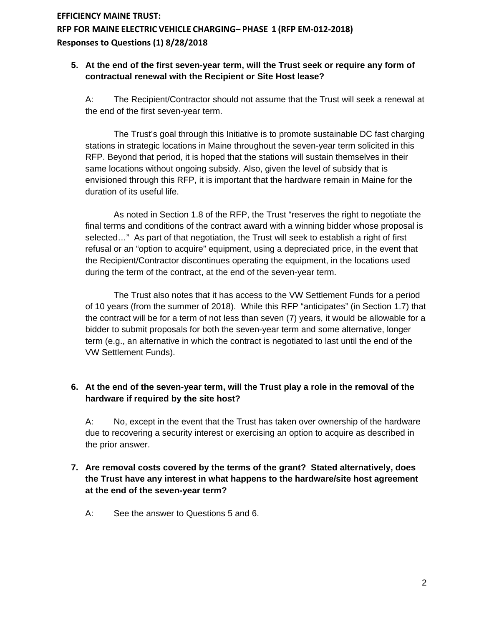#### **5. At the end of the first seven-year term, will the Trust seek or require any form of contractual renewal with the Recipient or Site Host lease?**

A: The Recipient/Contractor should not assume that the Trust will seek a renewal at the end of the first seven-year term.

The Trust's goal through this Initiative is to promote sustainable DC fast charging stations in strategic locations in Maine throughout the seven-year term solicited in this RFP. Beyond that period, it is hoped that the stations will sustain themselves in their same locations without ongoing subsidy. Also, given the level of subsidy that is envisioned through this RFP, it is important that the hardware remain in Maine for the duration of its useful life.

As noted in Section 1.8 of the RFP, the Trust "reserves the right to negotiate the final terms and conditions of the contract award with a winning bidder whose proposal is selected…" As part of that negotiation, the Trust will seek to establish a right of first refusal or an "option to acquire" equipment, using a depreciated price, in the event that the Recipient/Contractor discontinues operating the equipment, in the locations used during the term of the contract, at the end of the seven-year term.

The Trust also notes that it has access to the VW Settlement Funds for a period of 10 years (from the summer of 2018). While this RFP "anticipates" (in Section 1.7) that the contract will be for a term of not less than seven (7) years, it would be allowable for a bidder to submit proposals for both the seven-year term and some alternative, longer term (e.g., an alternative in which the contract is negotiated to last until the end of the VW Settlement Funds).

### **6. At the end of the seven-year term, will the Trust play a role in the removal of the hardware if required by the site host?**

A: No, except in the event that the Trust has taken over ownership of the hardware due to recovering a security interest or exercising an option to acquire as described in the prior answer.

#### **7. Are removal costs covered by the terms of the grant? Stated alternatively, does the Trust have any interest in what happens to the hardware/site host agreement at the end of the seven-year term?**

A: See the answer to Questions 5 and 6.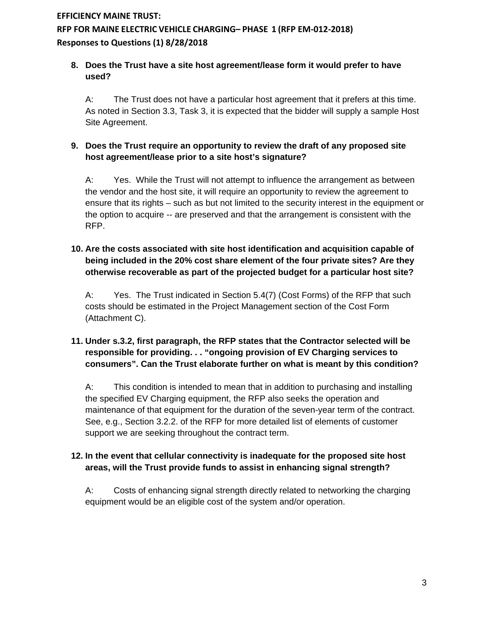## **8. Does the Trust have a site host agreement/lease form it would prefer to have used?**

A: The Trust does not have a particular host agreement that it prefers at this time. As noted in Section 3.3, Task 3, it is expected that the bidder will supply a sample Host Site Agreement.

## **9. Does the Trust require an opportunity to review the draft of any proposed site host agreement/lease prior to a site host's signature?**

A: Yes. While the Trust will not attempt to influence the arrangement as between the vendor and the host site, it will require an opportunity to review the agreement to ensure that its rights – such as but not limited to the security interest in the equipment or the option to acquire -- are preserved and that the arrangement is consistent with the RFP.

### **10. Are the costs associated with site host identification and acquisition capable of being included in the 20% cost share element of the four private sites? Are they otherwise recoverable as part of the projected budget for a particular host site?**

A: Yes. The Trust indicated in Section 5.4(7) (Cost Forms) of the RFP that such costs should be estimated in the Project Management section of the Cost Form (Attachment C).

## **11. Under s.3.2, first paragraph, the RFP states that the Contractor selected will be responsible for providing. . . "ongoing provision of EV Charging services to consumers". Can the Trust elaborate further on what is meant by this condition?**

A: This condition is intended to mean that in addition to purchasing and installing the specified EV Charging equipment, the RFP also seeks the operation and maintenance of that equipment for the duration of the seven-year term of the contract. See, e.g., Section 3.2.2. of the RFP for more detailed list of elements of customer support we are seeking throughout the contract term.

### **12. In the event that cellular connectivity is inadequate for the proposed site host areas, will the Trust provide funds to assist in enhancing signal strength?**

A: Costs of enhancing signal strength directly related to networking the charging equipment would be an eligible cost of the system and/or operation.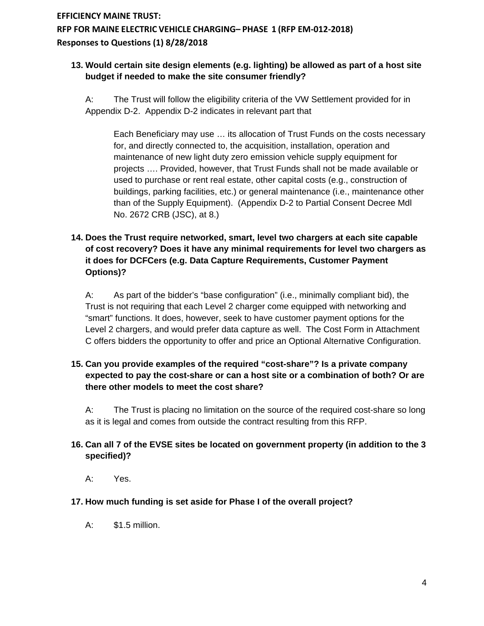#### **13. Would certain site design elements (e.g. lighting) be allowed as part of a host site budget if needed to make the site consumer friendly?**

A: The Trust will follow the eligibility criteria of the VW Settlement provided for in Appendix D-2. Appendix D-2 indicates in relevant part that

Each Beneficiary may use … its allocation of Trust Funds on the costs necessary for, and directly connected to, the acquisition, installation, operation and maintenance of new light duty zero emission vehicle supply equipment for projects …. Provided, however, that Trust Funds shall not be made available or used to purchase or rent real estate, other capital costs (e.g., construction of buildings, parking facilities, etc.) or general maintenance (i.e., maintenance other than of the Supply Equipment). (Appendix D-2 to Partial Consent Decree Mdl No. 2672 CRB (JSC), at 8.)

## **14. Does the Trust require networked, smart, level two chargers at each site capable of cost recovery? Does it have any minimal requirements for level two chargers as it does for DCFCers (e.g. Data Capture Requirements, Customer Payment Options)?**

A: As part of the bidder's "base configuration" (i.e., minimally compliant bid), the Trust is not requiring that each Level 2 charger come equipped with networking and "smart" functions. It does, however, seek to have customer payment options for the Level 2 chargers, and would prefer data capture as well. The Cost Form in Attachment C offers bidders the opportunity to offer and price an Optional Alternative Configuration.

## **15. Can you provide examples of the required "cost-share"? Is a private company expected to pay the cost-share or can a host site or a combination of both? Or are there other models to meet the cost share?**

A: The Trust is placing no limitation on the source of the required cost-share so long as it is legal and comes from outside the contract resulting from this RFP.

## **16. Can all 7 of the EVSE sites be located on government property (in addition to the 3 specified)?**

A: Yes.

### **17. How much funding is set aside for Phase I of the overall project?**

A: \$1.5 million.